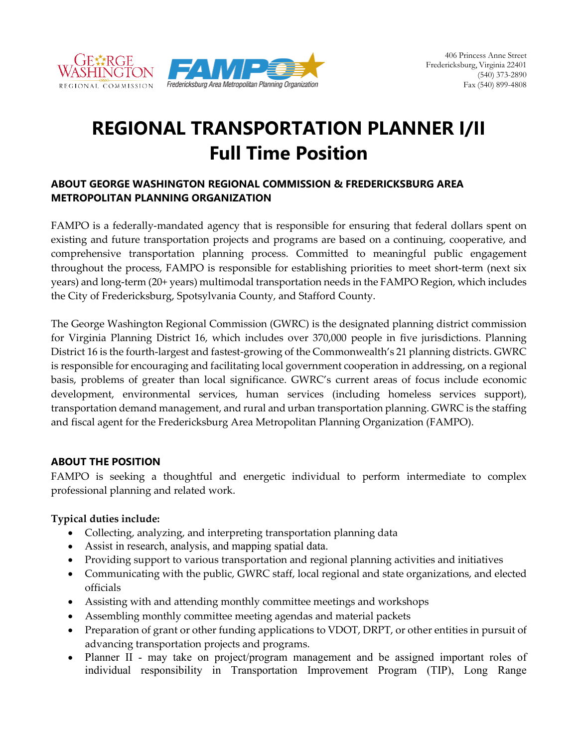

# **REGIONAL TRANSPORTATION PLANNER I/II Full Time Position**

### **ABOUT GEORGE WASHINGTON REGIONAL COMMISSION & FREDERICKSBURG AREA METROPOLITAN PLANNING ORGANIZATION**

FAMPO is a federally-mandated agency that is responsible for ensuring that federal dollars spent on existing and future transportation projects and programs are based on a continuing, cooperative, and comprehensive transportation planning process. Committed to meaningful public engagement throughout the process, FAMPO is responsible for establishing priorities to meet short-term (next six years) and long-term (20+ years) multimodal transportation needs in the FAMPO Region, which includes the City of Fredericksburg, Spotsylvania County, and Stafford County.

The George Washington Regional Commission (GWRC) is the designated planning district commission for Virginia Planning District 16, which includes over 370,000 people in five jurisdictions. Planning District 16 is the fourth-largest and fastest-growing of the Commonwealth's 21 planning districts. GWRC is responsible for encouraging and facilitating local government cooperation in addressing, on a regional basis, problems of greater than local significance. GWRC's current areas of focus include economic development, environmental services, human services (including homeless services support), transportation demand management, and rural and urban transportation planning. GWRC is the staffing and fiscal agent for the Fredericksburg Area Metropolitan Planning Organization (FAMPO).

#### **ABOUT THE POSITION**

FAMPO is seeking a thoughtful and energetic individual to perform intermediate to complex professional planning and related work.

## **Typical duties include:**

- Collecting, analyzing, and interpreting transportation planning data
- Assist in research, analysis, and mapping spatial data.
- Providing support to various transportation and regional planning activities and initiatives
- Communicating with the public, GWRC staff, local regional and state organizations, and elected officials
- Assisting with and attending monthly committee meetings and workshops
- Assembling monthly committee meeting agendas and material packets
- Preparation of grant or other funding applications to VDOT, DRPT, or other entities in pursuit of advancing transportation projects and programs.
- Planner II may take on project/program management and be assigned important roles of individual responsibility in Transportation Improvement Program (TIP), Long Range